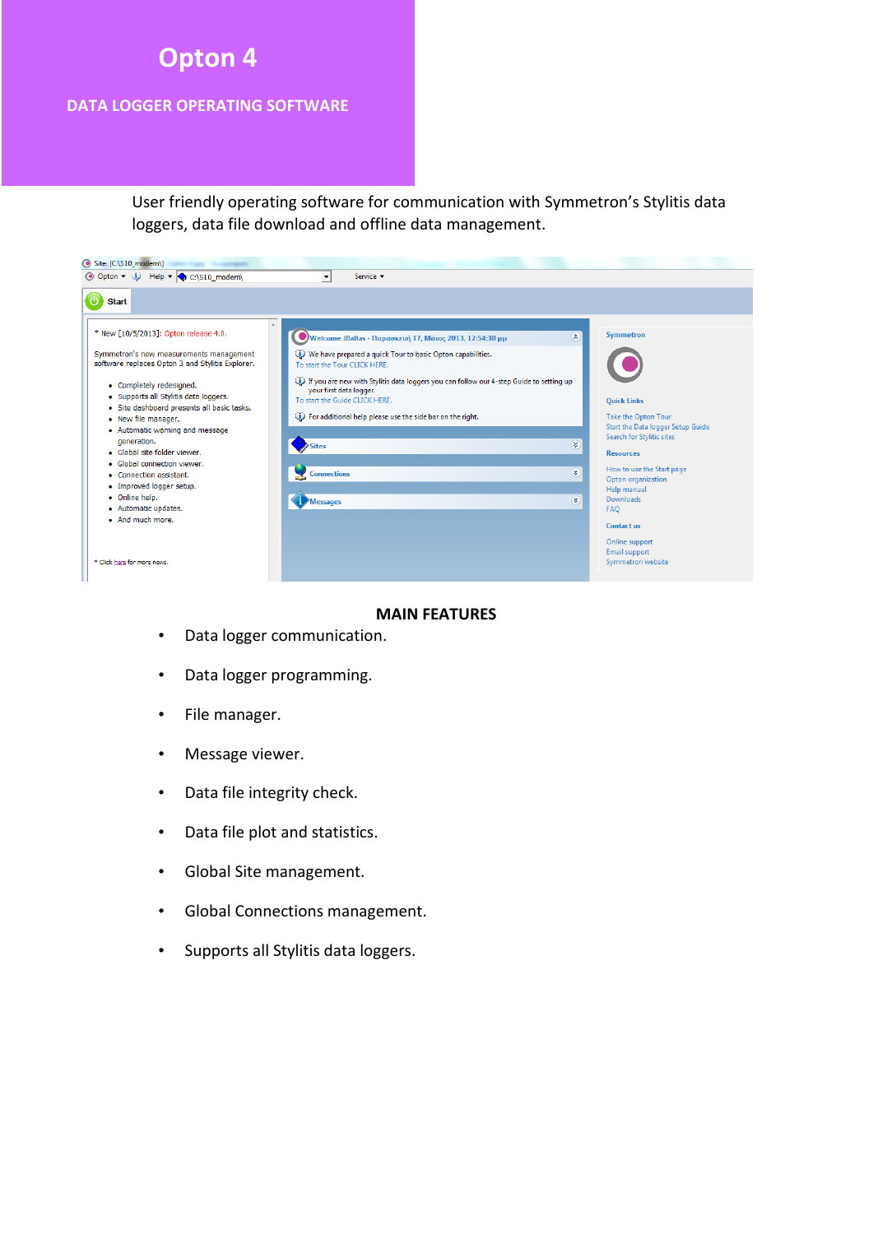# **Opton 4**

#### **DATA LOGGER OPERATING SOFTWARE**

User friendly operating software for communication with Symmetron's Stylitis data loggers, data file download and offline data management.

| ● Opton ▼ (i) Help ▼ C:\S10_modem\                                                                                                                                                                                                                                                                                                                                           | Service v<br>$\overline{\phantom{a}}$                                                                                                                                                                                                                                                                     |                                                                                                                                                                                                                                                          |
|------------------------------------------------------------------------------------------------------------------------------------------------------------------------------------------------------------------------------------------------------------------------------------------------------------------------------------------------------------------------------|-----------------------------------------------------------------------------------------------------------------------------------------------------------------------------------------------------------------------------------------------------------------------------------------------------------|----------------------------------------------------------------------------------------------------------------------------------------------------------------------------------------------------------------------------------------------------------|
| <b>Start</b><br>$\mathbb A$<br>* New [10/5/2013]: Opton release 4.0.<br>Symmetron's new measurements management<br>software replaces Opton 3 and Stylitis Explorer.                                                                                                                                                                                                          | $\otimes$<br>Welcome JBaltas - Παρασκευή 17, Μάιος 2013, 12:54:30 μμ<br>(i) We have prepared a quick Tour to basic Opton capabilities.<br>To start the Tour CLICK HERE.                                                                                                                                   | Symmetron                                                                                                                                                                                                                                                |
| • Completely redesigned.<br>· Supports all Stylitis data loggers.<br>· Site dashboard presents all basic tasks.<br>• New file manager.<br>• Automatic warning and message<br>generation.<br>· Global site folder viewer.<br>• Global connection viewer.<br>• Connection assistant.<br>• Improved logger setup.<br>• Online help.<br>· Automatic updates.<br>• And much more. | (1) If you are new with Stylitis data loggers you can follow our 4-step Guide to setting up<br>your first data logger.<br>To start the Guide CLICK HERE.<br>(i) For additional help please use the side bar on the right.<br>$\rightarrow$ Sites<br>×<br>×<br><b>Connections</b><br>×.<br><b>Messages</b> | <b>Quick Links</b><br><b>Take the Opton Tour</b><br>Start the Data logger Setup Guide<br>Search for Stylitis sites<br><b>Resources</b><br>How to use the Start page<br>Opton organization<br>Help manual<br><b>Downloads</b><br><b>FAO</b><br>Contact us |
| * Click here for more news.                                                                                                                                                                                                                                                                                                                                                  |                                                                                                                                                                                                                                                                                                           | Online support<br><b>Email support</b><br>Symmetron website                                                                                                                                                                                              |

#### **MAIN FEATURES**

- Data logger communication.
- Data logger programming.
- File manager.
- Message viewer.
- Data file integrity check.
- Data file plot and statistics.
- Global Site management.
- Global Connections management.
- Supports all Stylitis data loggers.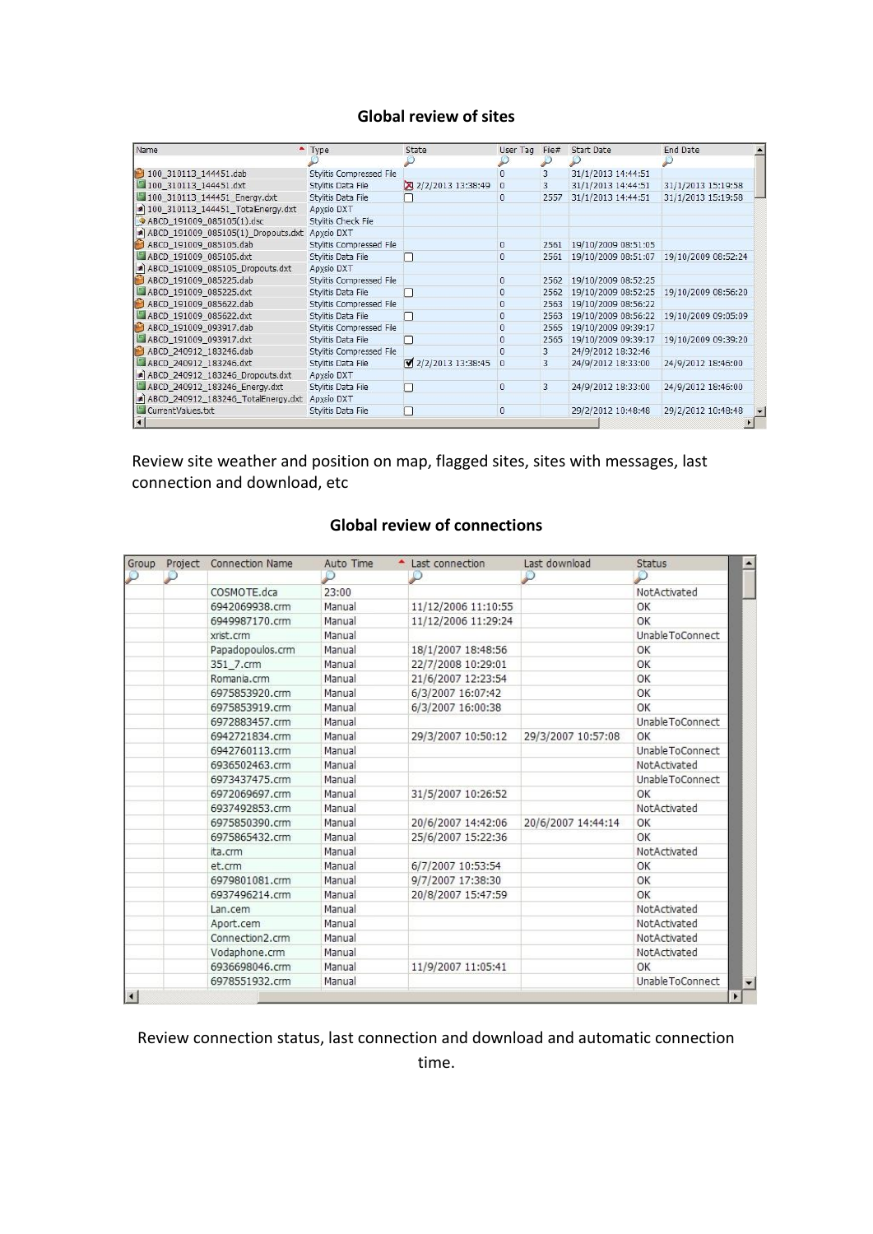## **Global review of sites**

| Name                                          | $-$ Type                 | State               | User Tag     | File# | Start Date          | End Date                                |  |
|-----------------------------------------------|--------------------------|---------------------|--------------|-------|---------------------|-----------------------------------------|--|
|                                               |                          |                     |              |       |                     |                                         |  |
| 100 310113 144451.dab                         | Stylitis Compressed File |                     | n            | 3     | 31/1/2013 14:44:51  |                                         |  |
| 100_310113_144451.dxt                         | Stylitis Data File       | 2/2/2013 13:38:49   | $\theta$     | 3     | 31/1/2013 14:44:51  | 31/1/2013 15:19:58                      |  |
| 100_310113_144451_Energy.dxt                  | Stylitis Data File       |                     | $\mathbf{0}$ | 2557  | 31/1/2013 14:44:51  | 31/1/2013 15:19:58                      |  |
| a) 100_310113_144451_TotalEnergy.dxt          | Aρχείο DXT               |                     |              |       |                     |                                         |  |
| ABCD_191009_085105(1).dsc                     | Stylitis Check File      |                     |              |       |                     |                                         |  |
| ABCD_191009_085105(1)_Dropouts.dxt Apxcio DXT |                          |                     |              |       |                     |                                         |  |
| ABCD_191009_085105.dab                        | Stylitis Compressed File |                     | $\theta$     | 2561  | 19/10/2009 08:51:05 |                                         |  |
| ABCD_191009_085105.dxt                        | Stylitis Data File       |                     | $\mathbf{0}$ | 2561  |                     | 19/10/2009 08:51:07 19/10/2009 08:52:24 |  |
| A ABCD_191009_085105_Dropouts.dxt             | Αρχείο DXT               |                     |              |       |                     |                                         |  |
| ABCD_191009_085225.dab                        | Stylitis Compressed File |                     | $\theta$     | 2562  | 19/10/2009 08:52:25 |                                         |  |
| ABCD 191009 085225.dxt                        | Stylitis Data File       |                     | $\mathbf{0}$ | 2562  |                     | 19/10/2009 08:52:25 19/10/2009 08:56:20 |  |
| ABCD_191009_085622.dab                        | Stylitis Compressed File |                     | $\mathbf{0}$ | 2563  | 19/10/2009 08:56:22 |                                         |  |
| ABCD 191009 085622.dxt                        | Stylitis Data File       | . .                 | $\bf{0}$     | 2563  |                     | 19/10/2009 08:56:22 19/10/2009 09:05:09 |  |
| ABCD_191009_093917.dab                        | Stylitis Compressed File |                     | $\theta$     | 2565  | 19/10/2009 09:39:17 |                                         |  |
| ABCD_191009_093917.dxt                        | Stylitis Data File       |                     | $\mathbf{0}$ | 2565  | 19/10/2009 09:39:17 | 19/10/2009 09:39:20                     |  |
| ABCD_240912_183246.dab                        | Stylitis Compressed File |                     | $\Omega$     | 3     | 24/9/2012 18:32:46  |                                         |  |
| ABCD 240912 183246.dxt                        | Stylitis Data File       | ■ 2/2/2013 13:38:45 | $\theta$     | 3     | 24/9/2012 18:33:00  | 24/9/2012 18:46:00                      |  |
| ABCD_240912_183246_Dropouts.dxt               | Aρχείο DXT               |                     |              |       |                     |                                         |  |
| ABCD 240912 183246 Energy.dxt                 | Stylitis Data File       |                     | $\bf{0}$     | 3     | 24/9/2012 18:33:00  | 24/9/2012 18:46:00                      |  |
| ABCD_240912_183246_TotalEnergy.dxt            | Αρχείο DXT               |                     |              |       |                     |                                         |  |
| CurrentValues.txt                             | Stylitis Data File       | П                   | $\theta$     |       | 29/2/2012 10:48:48  | 29/2/2012 10:48:48                      |  |
|                                               |                          |                     |              |       |                     |                                         |  |

Review site weather and position on map, flagged sites, sites with messages, last connection and download, etc

| <b>Global review of connections</b> |  |
|-------------------------------------|--|
|-------------------------------------|--|

| <b>Group</b> | Project Connection Name | Auto Time | Last connection     | Last download      | <b>Status</b>     |
|--------------|-------------------------|-----------|---------------------|--------------------|-------------------|
|              |                         |           |                     |                    |                   |
|              | COSMOTE.dca             | 23:00     |                     |                    | NotActivated      |
|              | 6942069938.crm          | Manual    | 11/12/2006 11:10:55 |                    | OK                |
|              | 6949987170.crm          | Manual    | 11/12/2006 11:29:24 |                    | OK                |
|              | xrist.crm               | Manual    |                     |                    | Unable To Connect |
|              | Papadopoulos.crm        | Manual    | 18/1/2007 18:48:56  |                    | OK                |
|              | 351 7.crm               | Manual    | 22/7/2008 10:29:01  |                    | OK                |
|              | Romania.crm             | Manual    | 21/6/2007 12:23:54  |                    | OK                |
|              | 6975853920.crm          | Manual    | 6/3/2007 16:07:42   |                    | OK                |
|              | 6975853919.crm          | Manual    | 6/3/2007 16:00:38   |                    | OK                |
|              | 6972883457.crm          | Manual    |                     |                    | Unable To Connect |
|              | 6942721834.crm          | Manual    | 29/3/2007 10:50:12  | 29/3/2007 10:57:08 | ОК                |
|              | 6942760113.crm          | Manual    |                     |                    | Unable ToConnect  |
|              | 6936502463.crm          | Manual    |                     |                    | NotActivated      |
|              | 6973437475.crm          | Manual    |                     |                    | Unable ToConnect  |
|              | 6972069697.crm          | Manual    | 31/5/2007 10:26:52  |                    | OK                |
|              | 6937492853.crm          | Manual    |                     |                    | NotActivated      |
|              | 6975850390.crm          | Manual    | 20/6/2007 14:42:06  | 20/6/2007 14:44:14 | ОК                |
|              | 6975865432.crm          | Manual    | 25/6/2007 15:22:36  |                    | OK                |
|              | ita.crm                 | Manual    |                     |                    | NotActivated      |
|              | et.crm                  | Manual    | 6/7/2007 10:53:54   |                    | OK                |
|              | 6979801081.crm          | Manual    | 9/7/2007 17:38:30   |                    | OK                |
|              | 6937496214.crm          | Manual    | 20/8/2007 15:47:59  |                    | OK                |
|              | Lan.cem                 | Manual    |                     |                    | NotActivated      |
|              | Aport.cem               | Manual    |                     |                    | NotActivated      |
|              | Connection2.crm         | Manual    |                     |                    | NotActivated      |
|              | Vodaphone.crm           | Manual    |                     |                    | NotActivated      |
|              | 6936698046.crm          | Manual    | 11/9/2007 11:05:41  |                    | ОК                |
|              | 6978551932.crm          | Manual    |                     |                    | Unable ToConnect  |

Review connection status, last connection and download and automatic connection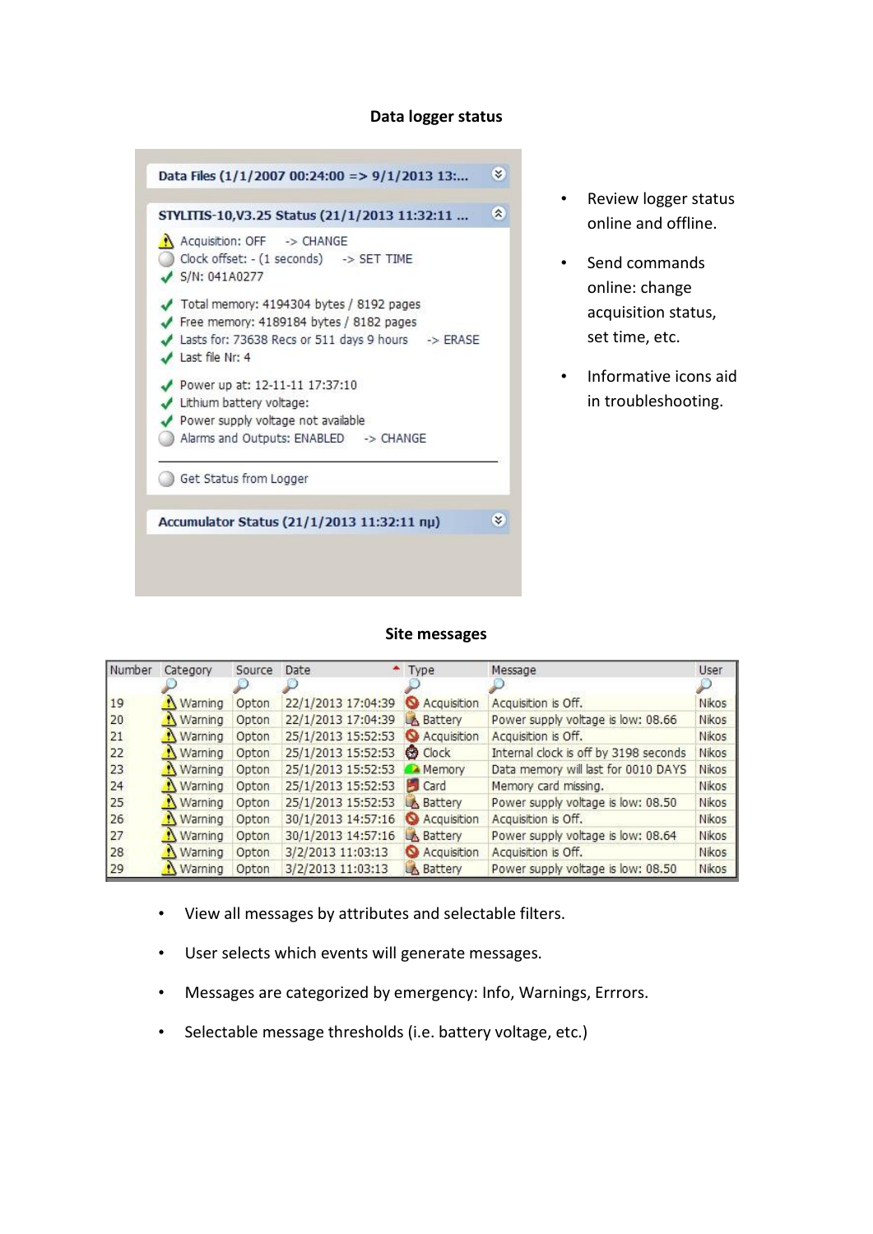#### **Data logger status**



- Review logger status online and offline.
- Send commands online: change acquisition status, set time, etc.
- Informative icons aid in troubleshooting.

#### **Site messages**

| Number | Category         | Source | Date                           | $+$ Type             | Message                               | <b>User</b>  |
|--------|------------------|--------|--------------------------------|----------------------|---------------------------------------|--------------|
|        |                  |        |                                |                      |                                       |              |
| 19     | <b>N</b> Warning | Opton  | 22/1/2013 17:04:39             | <b>Q</b> Acquisition | Acquisition is Off.                   | Nikos        |
| 20     | <b>N</b> Warning | Opton  | 22/1/2013 17:04:39             | <b>A</b> Battery     | Power supply voltage is low: 08.66    | Nikos        |
| 21     | <b>N</b> Warning | Opton  | 25/1/2013 15:52:53 Acquisition |                      | Acquisition is Off.                   | Nikos        |
| 22     | <b>N</b> Warning | Opton  | 25/1/2013 15:52:53 @ Clock     |                      | Internal clock is off by 3198 seconds | Nikos        |
| 23     | <b>N</b> Warning | Opton  | 25/1/2013 15:52:53             | Memory               | Data memory will last for 0010 DAYS   | Nikos        |
| 24     | <b>N</b> Warning | Opton  | 25/1/2013 15:52:53             | <b>Card</b>          | Memory card missing.                  | Nikos        |
| 25     | <b>N</b> Warning | Opton  | 25/1/2013 15:52:53             | <b>A</b> Battery     | Power supply voltage is low: 08.50    | Nikos        |
| 26     | Warning          | Opton  | 30/1/2013 14:57:16 Acquisition |                      | Acquisition is Off.                   | <b>Nikos</b> |
| 27     | Warning          | Opton  | 30/1/2013 14:57:16             | <b>A</b> Battery     | Power supply voltage is low: 08.64    | Nikos        |
| 28     | <b>N</b> Warning | Opton  | 3/2/2013 11:03:13              | Acquisition          | Acquisition is Off.                   | Nikos        |
| 29     | <b>N</b> Warning | Opton  | 3/2/2013 11:03:13              | <b>A</b> Battery     | Power supply voltage is low: 08.50    | Nikos        |

- View all messages by attributes and selectable filters.
- User selects which events will generate messages.
- Messages are categorized by emergency: Info, Warnings, Errrors.
- Selectable message thresholds (i.e. battery voltage, etc.)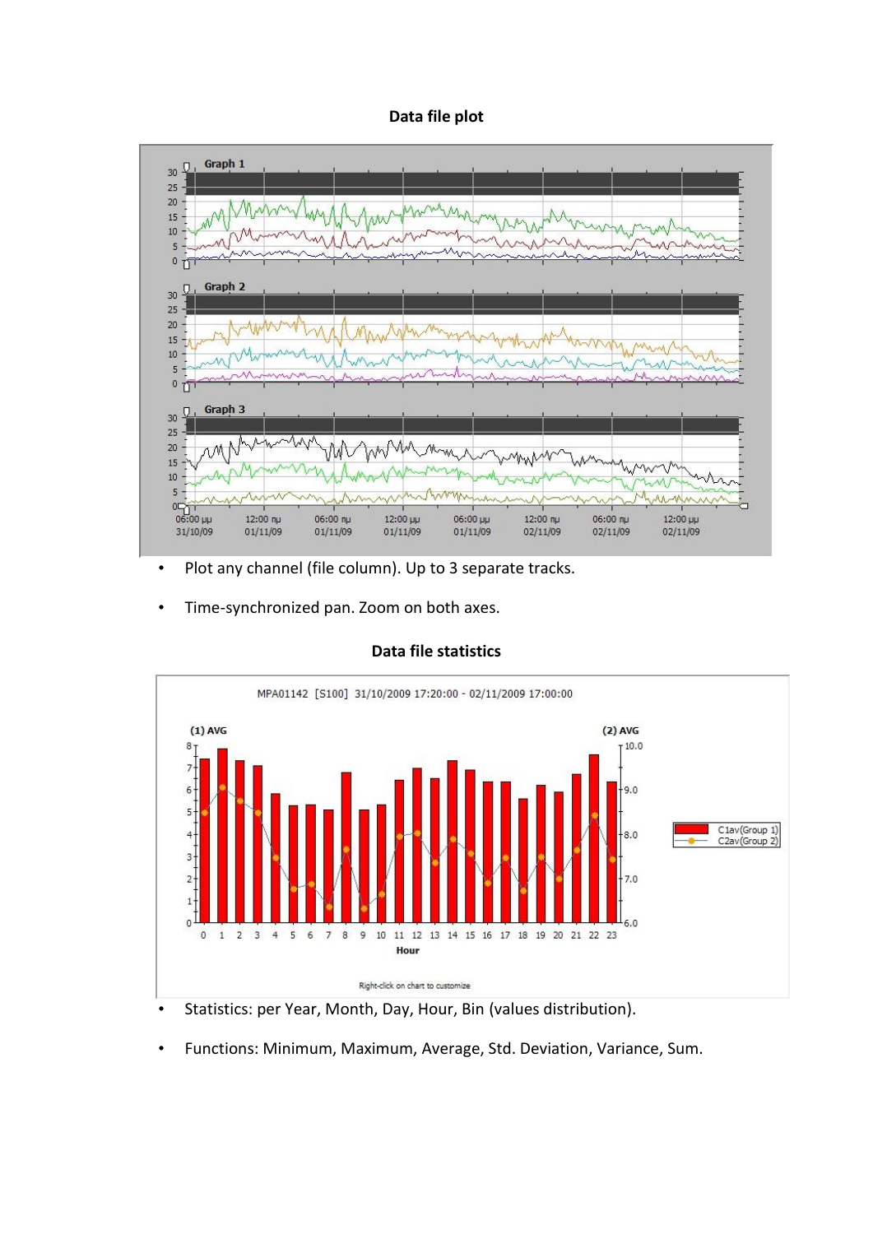### **Data file plot**



- Plot any channel (file column). Up to 3 separate tracks.
- Time-synchronized pan. Zoom on both axes.



### **Data file statistics**

- Statistics: per Year, Month, Day, Hour, Bin (values distribution).
- Functions: Minimum, Maximum, Average, Std. Deviation, Variance, Sum.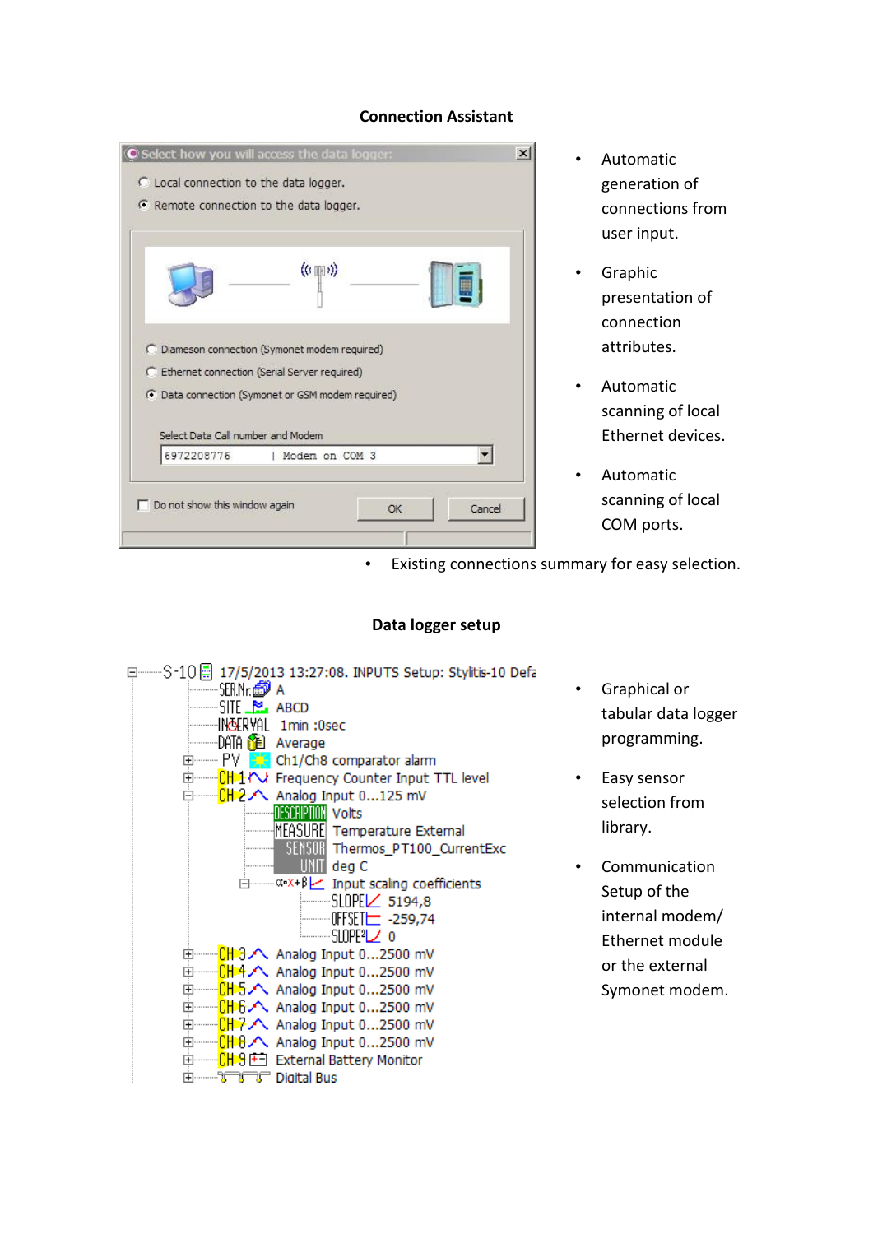| C Local connection to the data logger. | Remote connection to the data logger.                                                                                                                 |  |
|----------------------------------------|-------------------------------------------------------------------------------------------------------------------------------------------------------|--|
|                                        | $((\lbrack 0 \rbrack \rbrack 0))$                                                                                                                     |  |
|                                        | C Diameson connection (Symonet modem required)<br>C Ethernet connection (Serial Server required)<br>• Data connection (Symonet or GSM modem required) |  |
| Select Data Call number and Modem      |                                                                                                                                                       |  |
| 6972208776                             | Modem on COM 3                                                                                                                                        |  |
|                                        |                                                                                                                                                       |  |

# **Connection Assistant**

- Automatic generation of connections from user input.
- Graphic presentation of connection attributes.
- Automatic scanning of local Ethernet devices.
- Automatic scanning of local COM ports.

Existing connections summary for easy selection.

## **Data logger setup**



- Graphical or tabular data logger programming.
- Easy sensor selection from library.
- Communication Setup of the internal modem/ Ethernet module or the external Symonet modem.